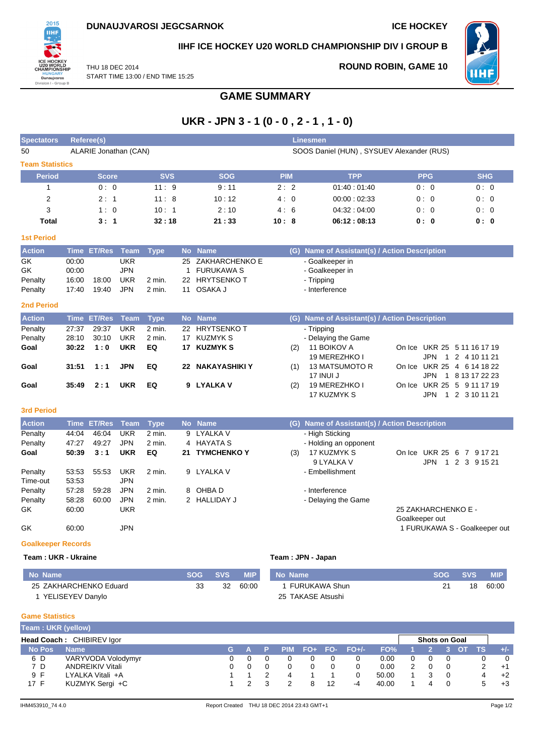**Spectators Referee(s) Linesmen**

On Ice UKR 25 5 11 16 17 19 JPN 1 2 4 10 11 21

On Ice UKR 25 4 6 14 18 22 JPN 1 8 13 17 22 23

On Ice UKR 25 5 9 11 17 19 JPN 1 2 3 10 11 21

On Ice UKR 25 6 7 9 17 21 JPN 1 2 3 9 15 21

21 18 60:00

Goalkeeper out



**Team Statistics**

**IIHF ICE HOCKEY U20 WORLD CHAMPIONSHIP DIV I GROUP B**

**GAME SUMMARY**

**UKR - JPN 3 - 1 (0 - 0 , 2 - 1 , 1 - 0)**

**Period Score SVS SOG PIM TPP PPG SHG** 1 0 : 0 11 : 9 9 : 11 2 : 2 01:40 : 01:40 0 : 0 0 : 0 2 2 : 1 11 : 8 10 : 12 4 : 0 00:00 : 02:33 0 : 0 0 : 0 3 1 : 0 10 : 1 2 : 10 4 : 6 04:32 : 04:00 0 : 0 0 : 0 **Total 3 : 1 32 : 18 21 : 33 10 : 8 06:12 : 08:13 0 : 0 0 : 0**

50 ALARIE Jonathan (CAN) SOOS Daniel (HUN) , SYSUEV Alexander (RUS)

THU 18 DEC 2014 START TIME 13:00 / END TIME 15:25 **ROUND ROBIN, GAME 10**



**1st Period Action Time ET/Res Team Type No Name (G) Name of Assistant(s) / Action Description** GK 00:00 UKR 25 ZAKHARCHENKO E - Goalkeeper in<br>GK 00:00 UPN 1 FURUKAWA S - Goalkeeper in GK 00:00 JPN 1 FURUKAWA S - Goalkeeper in Penalty 16:00 18:00 UKR 2 min. 22 HRYTSENKO T - Tripping Penalty 17:40 19:40 JPN 2 min. 11 OSAKA J - Interference **2nd Period Action Time ET/Res Team Type No Name (G) Name of Assistant(s) / Action Description** Penalty 27:37 29:37 UKR 2 min. 22 HRYTSENKO T - Tripping Penalty 28:10 30:10 UKR 2 min. 17 KUZMYK S - Delaying the Game **Goal 30:22 1 : 0 UKR EQ 17 KUZMYK S** (2) 11 BOIKOV A 19 MEREZHKO I Goal 31:51 1:1 JPN EQ 22 NAKAYASHIKI Y (1) 13 MATSUMOTO R 17 INUI J **Goal 35:49 2 : 1 UKR EQ 9 LYALKA V** (2) 19 MEREZHKO I 17 KUZMYK S **3rd Period Action Time ET/Res Team Type No Name (G) Name of Assistant(s) / Action Description** Penalty 44:04 46:04 UKR 2 min. 9 LYALKA V - High Sticking Penalty 47:27 49:27 JPN 2 min. 4 HAYATA S - Holding an opponent **Goal 50:39 3 : 1 UKR EQ 21 TYMCHENKO Y** (3) 17 KUZMYK S **9 LYALKA V** Penalty 53:53 55:53 UKR 2 min. 9 LYALKA V - Fmbellishment Time-out 53:53 JPN Penalty 57:28 59:28 JPN 2 min. 8 OHBA D<br>Penalty 58:28 60:00 JPN 2 min 2 HALLIDAY J Penalty 58:28 60:00 JPN 2 min. 2 HALLIDAY J - Delaying the Game GK 60:00 UKR 25 ZAKHARCHENKO E -GK 60:00 JPN 1 FURUKAWA S - Goalkeeper out **Goalkeeper Records Team : UKR - Ukraine Team : JPN - Japan No Name SOG SVS MIP** 25 ZAKHARCHENKO Eduard 1 YELISEYEV Danylo 33 32 60:00 **No Name SOG SVS MIP** 1 FURUKAWA Shun 25 TAKASE Atsushi **Game Statistics Team : UKR (yellow)**

**Head Coach :** CHIBIREV Igor **Shots on Goal No Pos Name G A P PIM FO+ FO- FO+/- FO% 1 2 3 OT TS +/-** 6 D VARYVODA Volodymyr 0 0 0 0 0 0 0 0.00 0 0 0 0 0 7 D ANDREIKIV Vitali 0 0 0 0 0 0 0 0.00 2 0 0 2 +1 9 F LYALKA Vitali +A 1 1 2 4 1 1 0 50.00 1 3 0 4 +2 17 F KUZMYK Sergi +C 1 2 3 2 8 12 -4 40.00 1 4 0 5 +3